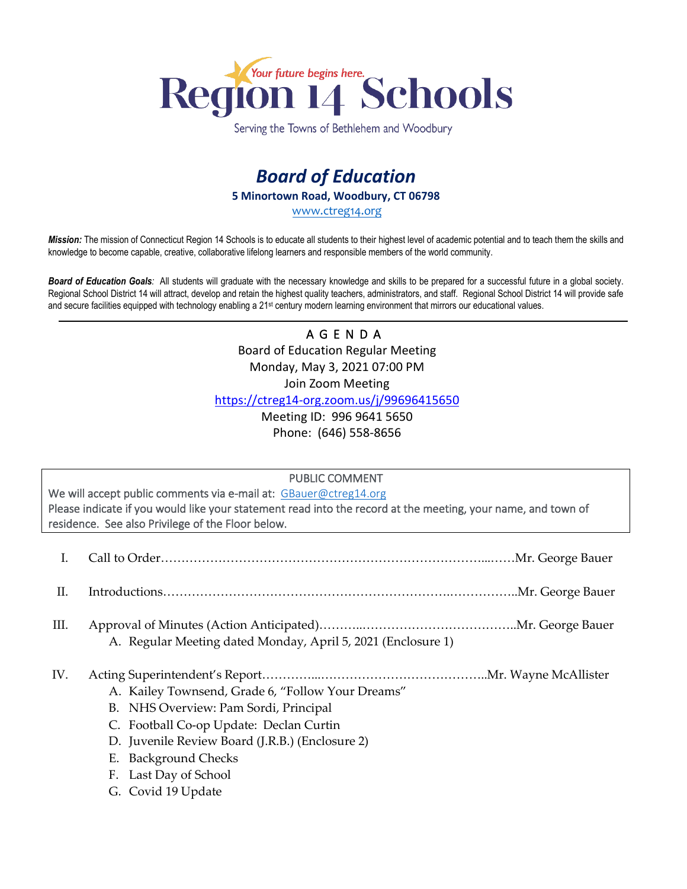

Serving the Towns of Bethlehem and Woodbury

## *Board of Education*  **5 Minortown Road, Woodbury, CT 06798**  [www.ctreg14.org](http://www.ctreg14.org/)

*Mission:* The mission of Connecticut Region 14 Schools is to educate all students to their highest level of academic potential and to teach them the skills and knowledge to become capable, creative, collaborative lifelong learners and responsible members of the world community.

*Board of Education Goals:* All students will graduate with the necessary knowledge and skills to be prepared for a successful future in a global society. Regional School District 14 will attract, develop and retain the highest quality teachers, administrators, and staff. Regional School District 14 will provide safe and secure facilities equipped with technology enabling a 21<sup>st</sup> century modern learning environment that mirrors our educational values.

## A G E N D A Board of Education Regular Meeting Monday, May 3, 2021 07:00 PM Join Zoom Meeting <https://ctreg14-org.zoom.us/j/99696415650>

Meeting ID: 996 9641 5650 Phone: (646) 558-8656

## PUBLIC COMMENT

We will accept public comments via e-mail at: [GBauer@ctreg14.org](mailto:GBauer@ctreg14.org) Please indicate if you would like your statement read into the record at the meeting, your name, and town of residence. See also Privilege of the Floor below.

- I. Call to Order……………………………………………………………………...……Mr. George Bauer
- II. Introductions…………………………………………………………….……………..Mr. George Bauer
- III. Approval of Minutes (Action Anticipated)………..………………………………..Mr. George Bauer A. Regular Meeting dated Monday, April 5, 2021 (Enclosure 1)
- IV. Acting Superintendent's Report…………...…………………………………..Mr. Wayne McAllister
	- A. Kailey Townsend, Grade 6, "Follow Your Dreams"
	- B. NHS Overview: Pam Sordi, Principal
	- C. Football Co-op Update: Declan Curtin
	- D. Juvenile Review Board (J.R.B.) (Enclosure 2)
	- E. Background Checks
	- F. Last Day of School
	- G. Covid 19 Update